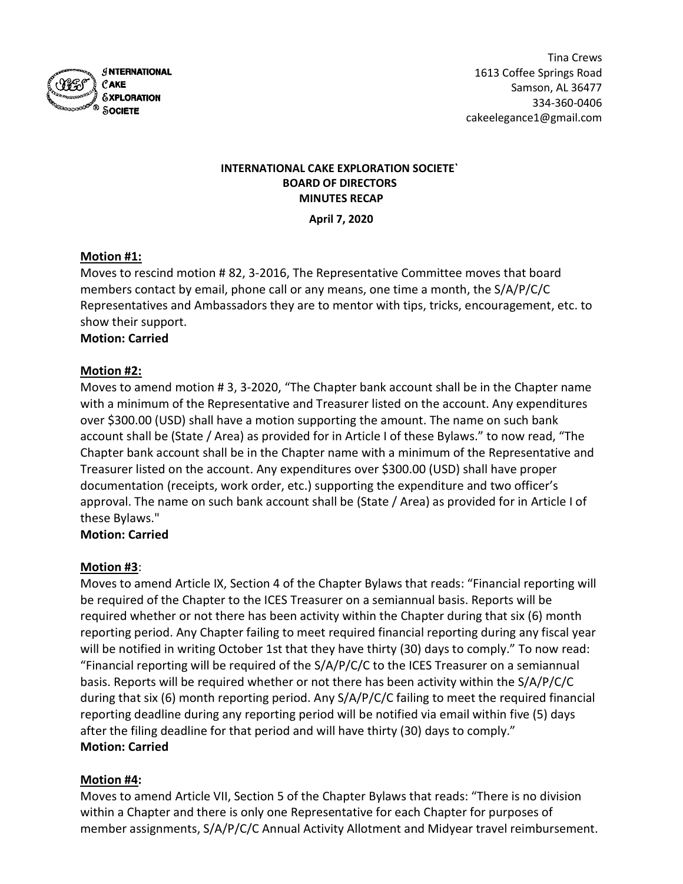

# INTERNATIONAL CAKE EXPLORATION SOCIETE` BOARD OF DIRECTORS MINUTES RECAP

April 7, 2020

# Motion #1:

Moves to rescind motion # 82, 3-2016, The Representative Committee moves that board members contact by email, phone call or any means, one time a month, the S/A/P/C/C Representatives and Ambassadors they are to mentor with tips, tricks, encouragement, etc. to show their support.

## Motion: Carried

## Motion #2:

Moves to amend motion # 3, 3-2020, "The Chapter bank account shall be in the Chapter name with a minimum of the Representative and Treasurer listed on the account. Any expenditures over \$300.00 (USD) shall have a motion supporting the amount. The name on such bank account shall be (State / Area) as provided for in Article I of these Bylaws." to now read, "The Chapter bank account shall be in the Chapter name with a minimum of the Representative and Treasurer listed on the account. Any expenditures over \$300.00 (USD) shall have proper documentation (receipts, work order, etc.) supporting the expenditure and two officer's approval. The name on such bank account shall be (State / Area) as provided for in Article I of these Bylaws."

## Motion: Carried

## Motion #3:

Moves to amend Article IX, Section 4 of the Chapter Bylaws that reads: "Financial reporting will be required of the Chapter to the ICES Treasurer on a semiannual basis. Reports will be required whether or not there has been activity within the Chapter during that six (6) month reporting period. Any Chapter failing to meet required financial reporting during any fiscal year will be notified in writing October 1st that they have thirty (30) days to comply." To now read: "Financial reporting will be required of the S/A/P/C/C to the ICES Treasurer on a semiannual basis. Reports will be required whether or not there has been activity within the S/A/P/C/C during that six (6) month reporting period. Any S/A/P/C/C failing to meet the required financial reporting deadline during any reporting period will be notified via email within five (5) days after the filing deadline for that period and will have thirty (30) days to comply." Motion: Carried

## Motion #4:

Moves to amend Article VII, Section 5 of the Chapter Bylaws that reads: "There is no division within a Chapter and there is only one Representative for each Chapter for purposes of member assignments, S/A/P/C/C Annual Activity Allotment and Midyear travel reimbursement.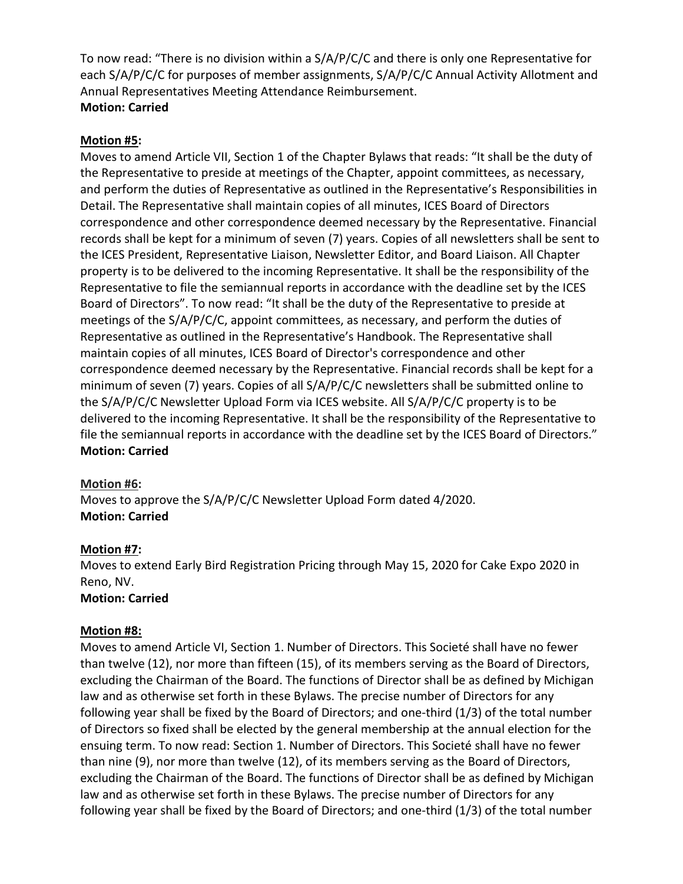To now read: "There is no division within a S/A/P/C/C and there is only one Representative for each S/A/P/C/C for purposes of member assignments, S/A/P/C/C Annual Activity Allotment and Annual Representatives Meeting Attendance Reimbursement. Motion: Carried

#### Motion #5:

Moves to amend Article VII, Section 1 of the Chapter Bylaws that reads: "It shall be the duty of the Representative to preside at meetings of the Chapter, appoint committees, as necessary, and perform the duties of Representative as outlined in the Representative's Responsibilities in Detail. The Representative shall maintain copies of all minutes, ICES Board of Directors correspondence and other correspondence deemed necessary by the Representative. Financial records shall be kept for a minimum of seven (7) years. Copies of all newsletters shall be sent to the ICES President, Representative Liaison, Newsletter Editor, and Board Liaison. All Chapter property is to be delivered to the incoming Representative. It shall be the responsibility of the Representative to file the semiannual reports in accordance with the deadline set by the ICES Board of Directors". To now read: "It shall be the duty of the Representative to preside at meetings of the S/A/P/C/C, appoint committees, as necessary, and perform the duties of Representative as outlined in the Representative's Handbook. The Representative shall maintain copies of all minutes, ICES Board of Director's correspondence and other correspondence deemed necessary by the Representative. Financial records shall be kept for a minimum of seven (7) years. Copies of all S/A/P/C/C newsletters shall be submitted online to the S/A/P/C/C Newsletter Upload Form via ICES website. All S/A/P/C/C property is to be delivered to the incoming Representative. It shall be the responsibility of the Representative to file the semiannual reports in accordance with the deadline set by the ICES Board of Directors." Motion: Carried

#### Motion #6:

Moves to approve the S/A/P/C/C Newsletter Upload Form dated 4/2020. Motion: Carried

## Motion #7:

Moves to extend Early Bird Registration Pricing through May 15, 2020 for Cake Expo 2020 in Reno, NV.

#### Motion: Carried

#### Motion #8:

Moves to amend Article VI, Section 1. Number of Directors. This Societé shall have no fewer than twelve (12), nor more than fifteen (15), of its members serving as the Board of Directors, excluding the Chairman of the Board. The functions of Director shall be as defined by Michigan law and as otherwise set forth in these Bylaws. The precise number of Directors for any following year shall be fixed by the Board of Directors; and one-third (1/3) of the total number of Directors so fixed shall be elected by the general membership at the annual election for the ensuing term. To now read: Section 1. Number of Directors. This Societé shall have no fewer than nine (9), nor more than twelve (12), of its members serving as the Board of Directors, excluding the Chairman of the Board. The functions of Director shall be as defined by Michigan law and as otherwise set forth in these Bylaws. The precise number of Directors for any following year shall be fixed by the Board of Directors; and one-third (1/3) of the total number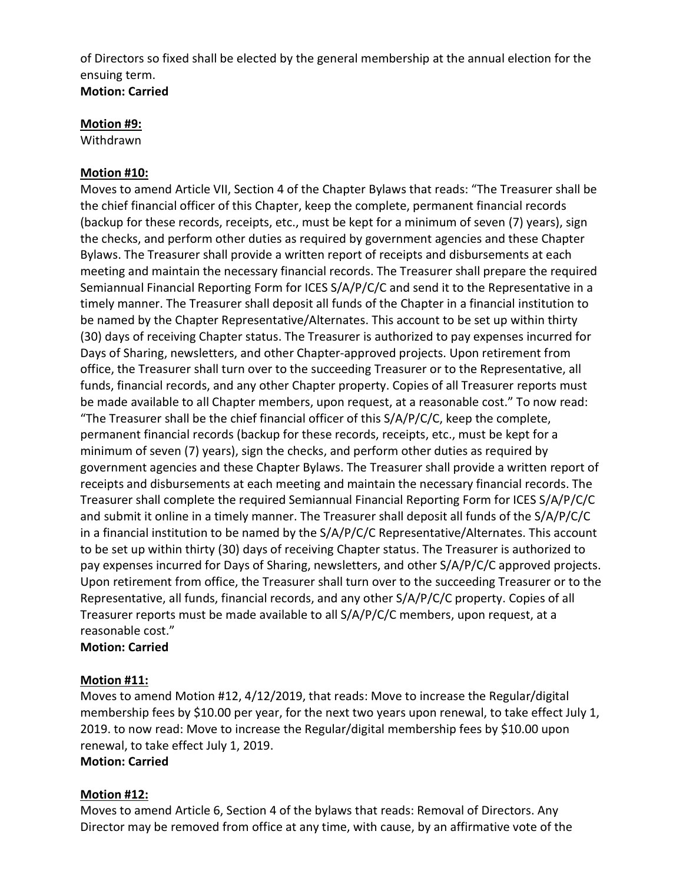of Directors so fixed shall be elected by the general membership at the annual election for the ensuing term. Motion: Carried

#### Motion #9:

Withdrawn

#### Motion #10:

Moves to amend Article VII, Section 4 of the Chapter Bylaws that reads: "The Treasurer shall be the chief financial officer of this Chapter, keep the complete, permanent financial records (backup for these records, receipts, etc., must be kept for a minimum of seven (7) years), sign the checks, and perform other duties as required by government agencies and these Chapter Bylaws. The Treasurer shall provide a written report of receipts and disbursements at each meeting and maintain the necessary financial records. The Treasurer shall prepare the required Semiannual Financial Reporting Form for ICES S/A/P/C/C and send it to the Representative in a timely manner. The Treasurer shall deposit all funds of the Chapter in a financial institution to be named by the Chapter Representative/Alternates. This account to be set up within thirty (30) days of receiving Chapter status. The Treasurer is authorized to pay expenses incurred for Days of Sharing, newsletters, and other Chapter-approved projects. Upon retirement from office, the Treasurer shall turn over to the succeeding Treasurer or to the Representative, all funds, financial records, and any other Chapter property. Copies of all Treasurer reports must be made available to all Chapter members, upon request, at a reasonable cost." To now read: "The Treasurer shall be the chief financial officer of this S/A/P/C/C, keep the complete, permanent financial records (backup for these records, receipts, etc., must be kept for a minimum of seven (7) years), sign the checks, and perform other duties as required by government agencies and these Chapter Bylaws. The Treasurer shall provide a written report of receipts and disbursements at each meeting and maintain the necessary financial records. The Treasurer shall complete the required Semiannual Financial Reporting Form for ICES S/A/P/C/C and submit it online in a timely manner. The Treasurer shall deposit all funds of the S/A/P/C/C in a financial institution to be named by the S/A/P/C/C Representative/Alternates. This account to be set up within thirty (30) days of receiving Chapter status. The Treasurer is authorized to pay expenses incurred for Days of Sharing, newsletters, and other S/A/P/C/C approved projects. Upon retirement from office, the Treasurer shall turn over to the succeeding Treasurer or to the Representative, all funds, financial records, and any other S/A/P/C/C property. Copies of all Treasurer reports must be made available to all S/A/P/C/C members, upon request, at a reasonable cost."

#### Motion: Carried

#### Motion #11:

Moves to amend Motion #12, 4/12/2019, that reads: Move to increase the Regular/digital membership fees by \$10.00 per year, for the next two years upon renewal, to take effect July 1, 2019. to now read: Move to increase the Regular/digital membership fees by \$10.00 upon renewal, to take effect July 1, 2019.

## Motion: Carried

## Motion #12:

Moves to amend Article 6, Section 4 of the bylaws that reads: Removal of Directors. Any Director may be removed from office at any time, with cause, by an affirmative vote of the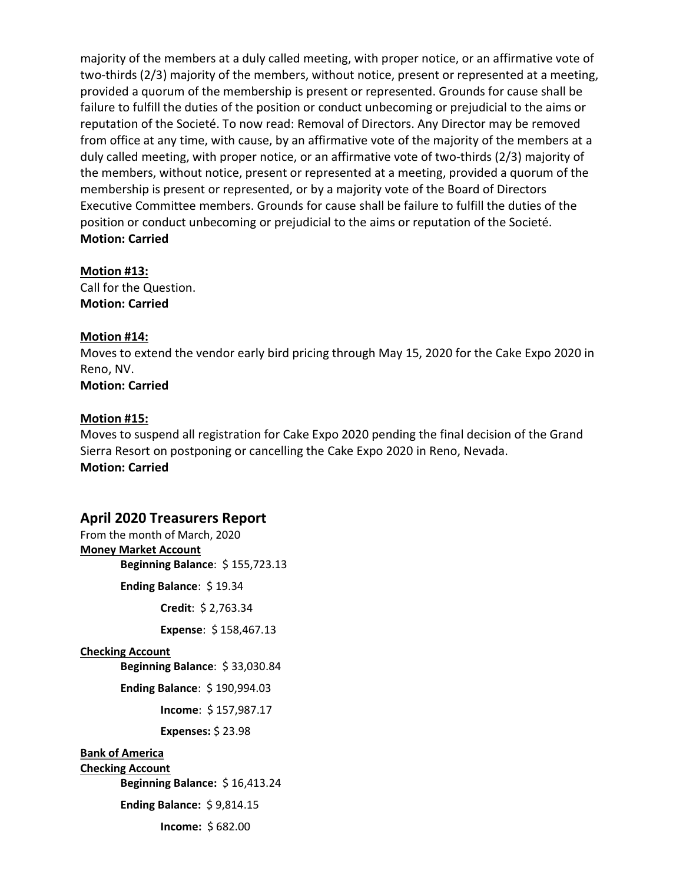majority of the members at a duly called meeting, with proper notice, or an affirmative vote of two-thirds (2/3) majority of the members, without notice, present or represented at a meeting, provided a quorum of the membership is present or represented. Grounds for cause shall be failure to fulfill the duties of the position or conduct unbecoming or prejudicial to the aims or reputation of the Societé. To now read: Removal of Directors. Any Director may be removed from office at any time, with cause, by an affirmative vote of the majority of the members at a duly called meeting, with proper notice, or an affirmative vote of two-thirds (2/3) majority of the members, without notice, present or represented at a meeting, provided a quorum of the membership is present or represented, or by a majority vote of the Board of Directors Executive Committee members. Grounds for cause shall be failure to fulfill the duties of the position or conduct unbecoming or prejudicial to the aims or reputation of the Societé. Motion: Carried

#### Motion #13:

Call for the Question. Motion: Carried

#### Motion #14:

Moves to extend the vendor early bird pricing through May 15, 2020 for the Cake Expo 2020 in Reno, NV.

Motion: Carried

#### Motion #15:

Moves to suspend all registration for Cake Expo 2020 pending the final decision of the Grand Sierra Resort on postponing or cancelling the Cake Expo 2020 in Reno, Nevada. Motion: Carried

## April 2020 Treasurers Report

From the month of March, 2020 Money Market Account Beginning Balance: \$ 155,723.13 Ending Balance: \$ 19.34 Credit: \$ 2,763.34 Expense: \$ 158,467.13 Checking Account Beginning Balance: \$ 33,030.84 Ending Balance: \$ 190,994.03 Income: \$ 157,987.17 Expenses: \$ 23.98 Bank of America Checking Account Beginning Balance: \$ 16,413.24 Ending Balance: \$ 9,814.15 Income: \$ 682.00